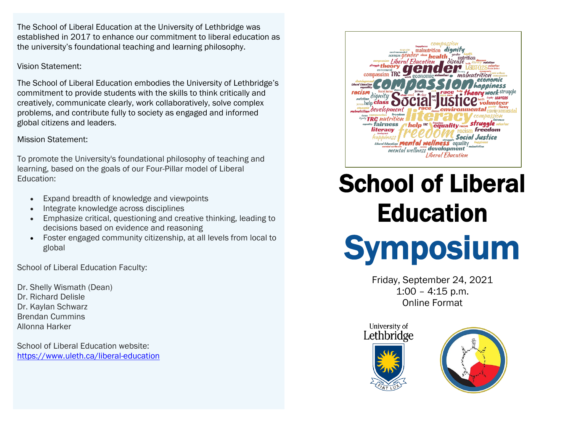The School of Liberal Education at the University of Lethbridge was established in 2017 to enhance our commitment to liberal education as the university's foundational teaching and learning philosophy.

#### Vision Statement:

The School of Liberal Education embodies the University of Lethbridge's commitment to provide students with the skills to think critically and creatively, communicate clearly, work collaboratively, solve complex problems, and contribute fully to society as engaged and informed global citizens and leaders.

### Mission Statement:

To promote the University's foundational philosophy of teaching and learning, based on the goals of our Four-Pillar model of Liberal Education:

- Expand breadth of knowledge and viewpoints
- Integrate knowledge across disciplines
- Emphasize critical, questioning and creative thinking, leading to decisions based on evidence and reasoning
- Foster engaged community citizenship, at all levels from local to global

School of Liberal Education Faculty:

Dr. Shelly Wismath (Dean) Dr. Richard Delisle Dr. Kaylan Schwarz Brendan Cummins Allonna Harker

School of Liberal Education website: <https://www.uleth.ca/liberal-education>



# School of Liberal **Education**



Friday, September 24, 2021 1:00 – 4:15 p.m. Online Format

University of Lethbridge